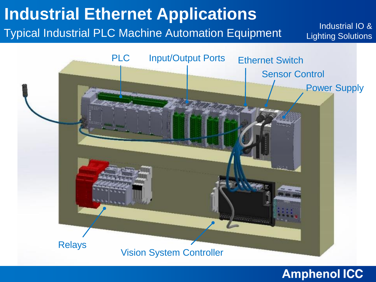## **Industrial Ethernet Applications**

Typical Industrial PLC Machine Automation Equipment

Industrial IO & Lighting Solutions

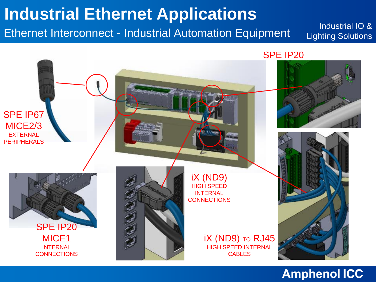# **Industrial Ethernet Applications**

Ethernet Interconnect - Industrial Automation Equipment

Industrial IO & Lighting Solutions

SPE IP20

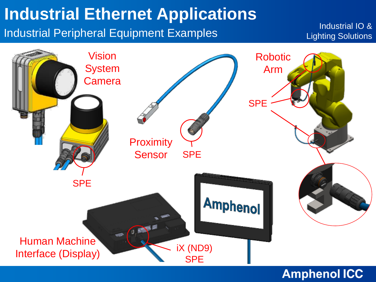## **Industrial Ethernet Applications**

Industrial Peripheral Equipment Examples

Industrial IO & Lighting Solutions

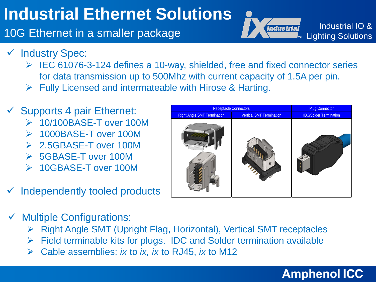# **Industrial Ethernet Solutions**

10G Ethernet in a smaller package



Industrial IO & Lighting Solutions

- ✓ Industry Spec:
	- $\triangleright$  IEC 61076-3-124 defines a 10-way, shielded, free and fixed connector series for data transmission up to 500Mhz with current capacity of 1.5A per pin.
	- $\triangleright$  Fully Licensed and intermateable with Hirose & Harting.
- $\checkmark$  Supports 4 pair Ethernet:
	- 10/100BASE-T over 100M
	- 1000BASE-T over 100M
	- 2.5GBASE-T over 100M
	- 5GBASE-T over 100M
	- 10GBASE-T over 100M
- Independently tooled products
- Plug Connector Right Angle SMT Termination **Vertical SMT Termination Intervention** IDC/Solder Termination Receptacle Connectors

- $\checkmark$  Multiple Configurations:
	- ▶ Right Angle SMT (Upright Flag, Horizontal), Vertical SMT receptacles
	- $\triangleright$  Field terminable kits for plugs. IDC and Solder termination available
	- Cable assemblies: *ix* to *ix, ix* to RJ45, *ix* to M12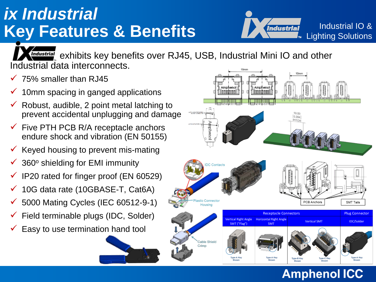# Key Features & Benefits **Industrial IO & Key Features & Benefits** *ix Industrial*



Industrial exhibits key benefits over RJ45, USB, Industrial Mini IO and other Industrial data interconnects.

- 75% smaller than RJ45
- 10mm spacing in ganged applications
- Robust, audible, 2 point metal latching to prevent accidental unplugging and damage
- $\checkmark$  Five PTH PCB R/A receptacle anchors endure shock and vibration (EN 50155)
- $\checkmark$  Keyed housing to prevent mis-mating
- $\checkmark$  360 $\circ$  shielding for EMI immunity
- IP20 rated for finger proof (EN 60529)
- 10G data rate (10GBASE-T, Cat6A)
- $\checkmark$  5000 Mating Cycles (IEC 60512-9-1)
- Field terminable plugs (IDC, Solder)
- Easy to use termination hand tool



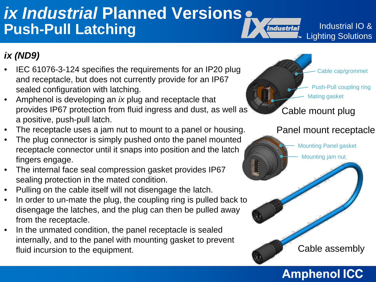## *ix Industrial* **Planned Versions Push-Pull Latching**

Industrial IO & Lighting Solutions

### *ix (ND9)*

- IEC 61076-3-124 specifies the requirements for an IP20 plug and receptacle, but does not currently provide for an IP67 sealed configuration with latching.
- Amphenol is developing an *ix* plug and receptacle that provides IP67 protection from fluid ingress and dust, as well as a positive, push-pull latch.
- The receptacle uses a jam nut to mount to a panel or housing.
- The plug connector is simply pushed onto the panel mounted receptacle connector until it snaps into position and the latch fingers engage.
- The internal face seal compression gasket provides IP67 sealing protection in the mated condition.
- Pulling on the cable itself will not disengage the latch.
- In order to un-mate the plug, the coupling ring is pulled back to disengage the latches, and the plug can then be pulled away from the receptacle.
- In the unmated condition, the panel receptacle is sealed internally, and to the panel with mounting gasket to prevent fluid incursion to the equipment.

Cable mount plug Push-Pull coupling ring Mating gasket able cap/grommet

*Industrial* 

### Panel mount receptacle

Mounting Panel gasket

Mounting jam nut

Cable assembly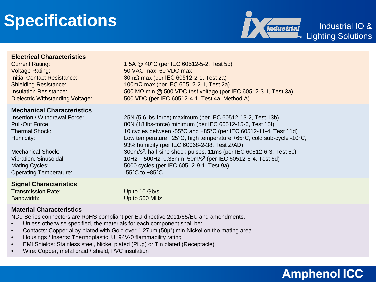# **Specifications**



Industrial IO & Lighting Solutions

#### **Electrical Characteristics**

Voltage Rating: 50 VAC max, 60 VDC max

#### **Mechanical Characteristics**

Operating Temperature:  $-55^{\circ}$ C to +85°C

#### **Signal Characteristics**

Transmission Rate: Up to 10 Gb/s Bandwidth: Up to 500 MHz

#### **Material Characteristics**

ND9 Series connectors are RoHS compliant per EU directive 2011/65/EU and amendments.

- Unless otherwise specified, the materials for each component shall be:
- Contacts: Copper alloy plated with Gold over 1.27μm (50μ") min Nickel on the mating area
- Housings / Inserts: Thermoplastic, UL94V-0 flammability rating
- EMI Shields: Stainless steel, Nickel plated (Plug) or Tin plated (Receptacle)
- Wire: Copper, metal braid / shield, PVC insulation

Current Rating: 1.5A @ 40°C (per IEC 60512-5-2, Test 5b) Initial Contact Resistance: 30mΩ max (per IEC 60512-2-1, Test 2a) Shielding Resistance: 100mΩ max (per IEC 60512-2-1, Test 2a) Insulation Resistance: 500 MΩ min @ 500 VDC test voltage (per IEC 60512-3-1, Test 3a) Dielectric Withstanding Voltage: 500 VDC (per IEC 60512-4-1, Test 4a, Method A)

Insertion / Withdrawal Force: 25N (5.6 lbs-force) maximum (per IEC 60512-13-2, Test 13b) Pull-Out Force: 80N (18 lbs-force) minimum (per IEC 60512-15-6, Test 15f) Thermal Shock: 10 cycles between -55°C and +85°C (per IEC 60512-11-4, Test 11d) Humidity: Low temperature +25°C, high temperature +65°C, cold sub-cycle -10°C, 93% humidity (per IEC 60068-2-38, Test Z/AD) Mechanical Shock: 300m/s<sup>2</sup>, half-sine shock pulses, 11ms (per IEC 60512-6-3, Test 6c) Vibration, Sinusoidal: 10Hz – 500Hz, 0.35mm, 50m/s2 (per IEC 60512-6-4, Test 6d) Mating Cycles: 5000 cycles (per IEC 60512-9-1, Test 9a)